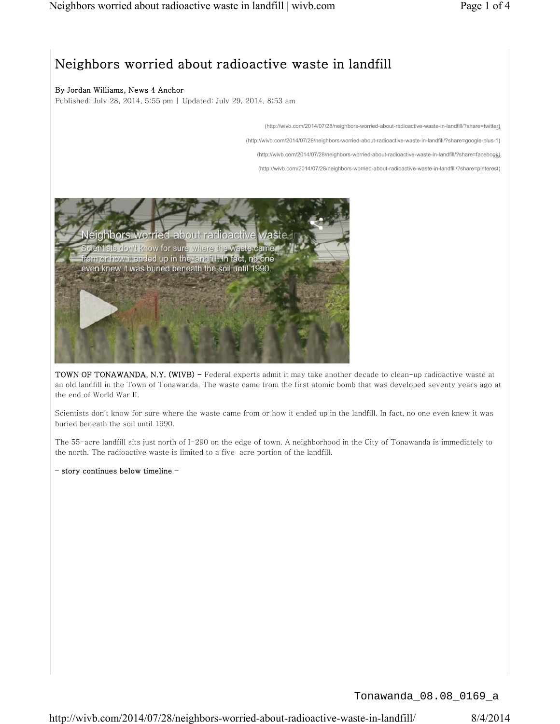# Neighbors worried about radioactive waste in landfill

## By Jordan Williams, News 4 Anchor

Published: July 28, 2014, 5:55 pm | Updated: July 29, 2014, 8:53 am

(http://wivb.com/2014/07/28/neighbors-worried-about-radioactive-waste-in-landfill/?share=twitter) <sup>18</sup>

(http://wivb.com/2014/07/28/neighbors-worried-about-radioactive-waste-in-landfill/?share=google-plus-1)

(http://wivb.com/2014/07/28/neighbors-worried-about-radioactive-waste-in-landfill/?share=facebook)

(http://wivb.com/2014/07/28/neighbors-worried-about-radioactive-waste-in-landfill/?share=pinterest)



TOWN OF TONAWANDA, N.Y. (WIVB) - Federal experts admit it may take another decade to clean-up radioactive waste at an old landfill in the Town of Tonawanda. The waste came from the first atomic bomb that was developed seventy years ago at the end of World War II.

Scientists don't know for sure where the waste came from or how it ended up in the landfill. In fact, no one even knew it was buried beneath the soil until 1990.

The 55-acre landfill sits just north of I-290 on the edge of town. A neighborhood in the City of Tonawanda is immediately to the north. The radioactive waste is limited to a five-acre portion of the landfill.

– story continues below timeline –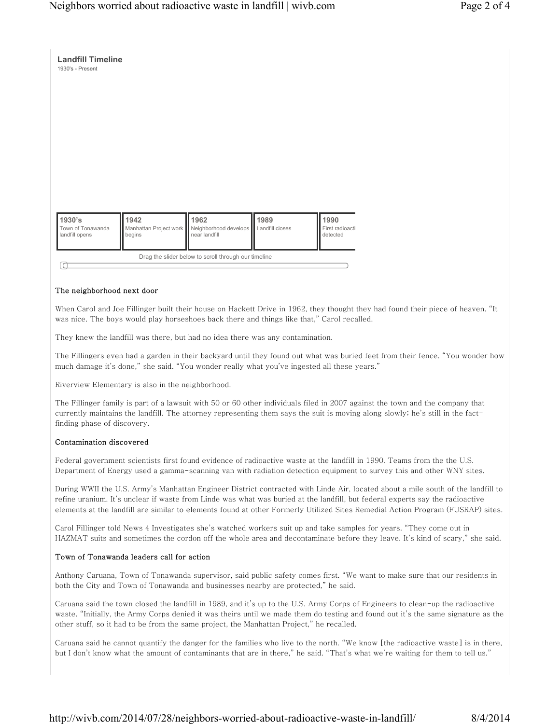| 1930's<br>Town of Tonawanda<br>landfill opens | 1942<br>Manhattan Project work<br>begins | 1962<br>Neighborhood develops<br>near landfill | 1989<br>Landfill closes | 1990<br>First radioacti<br>detected |
|-----------------------------------------------|------------------------------------------|------------------------------------------------|-------------------------|-------------------------------------|

#### The neighborhood next door

**Landfill Timeline**

When Carol and Joe Fillinger built their house on Hackett Drive in 1962, they thought they had found their piece of heaven. "It was nice. The boys would play horseshoes back there and things like that," Carol recalled.

They knew the landfill was there, but had no idea there was any contamination.

The Fillingers even had a garden in their backyard until they found out what was buried feet from their fence. "You wonder how much damage it's done," she said. "You wonder really what you've ingested all these years."

Riverview Elementary is also in the neighborhood.

The Fillinger family is part of a lawsuit with 50 or 60 other individuals filed in 2007 against the town and the company that currently maintains the landfill. The attorney representing them says the suit is moving along slowly; he's still in the factfinding phase of discovery.

#### Contamination discovered

Federal government scientists first found evidence of radioactive waste at the landfill in 1990. Teams from the the U.S. Department of Energy used a gamma-scanning van with radiation detection equipment to survey this and other WNY sites.

During WWII the U.S. Army's Manhattan Engineer District contracted with Linde Air, located about a mile south of the landfill to refine uranium. It's unclear if waste from Linde was what was buried at the landfill, but federal experts say the radioactive elements at the landfill are similar to elements found at other Formerly Utilized Sites Remedial Action Program (FUSRAP) sites.

Carol Fillinger told News 4 Investigates she's watched workers suit up and take samples for years. "They come out in HAZMAT suits and sometimes the cordon off the whole area and decontaminate before they leave. It's kind of scary," she said.

#### Town of Tonawanda leaders call for action

Anthony Caruana, Town of Tonawanda supervisor, said public safety comes first. "We want to make sure that our residents in both the City and Town of Tonawanda and businesses nearby are protected," he said.

Caruana said the town closed the landfill in 1989, and it's up to the U.S. Army Corps of Engineers to clean-up the radioactive waste. "Initially, the Army Corps denied it was theirs until we made them do testing and found out it's the same signature as the other stuff, so it had to be from the same project, the Manhattan Project," he recalled.

Caruana said he cannot quantify the danger for the families who live to the north. "We know [the radioactive waste] is in there, but I don't know what the amount of contaminants that are in there," he said. "That's what we're waiting for them to tell us."